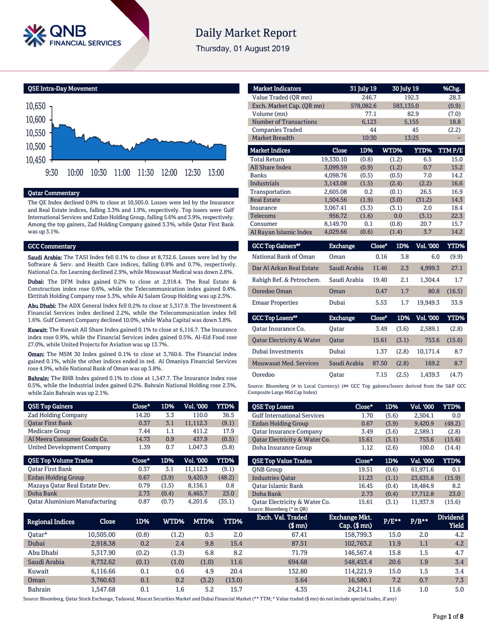

# **Daily Market Report**

Thursday, 01 August 2019

QSE Intra-Day Movement



#### Qatar Commentary

The QE Index declined 0.8% to close at 10,505.0. Losses were led by the Insurance and Real Estate indices, falling 3.3% and 1.9%, respectively. Top losers were Gulf International Services and Ezdan Holding Group, falling 5.6% and 3.9%, respectively. Among the top gainers, Zad Holding Company gained 3.3%, while Qatar First Bank was up 3.1%.

#### GCC Commentary

Saudi Arabia: The TASI Index fell 0.1% to close at 8,732.6. Losses were led by the Software & Serv. and Health Care indices, falling 0.8% and 0.7%, respectively. National Co. for Learning declined 2.9%, while Mouwasat Medical was down 2.8%.

Dubai: The DFM Index gained 0.2% to close at 2,918.4. The Real Estate & Construction index rose 0.6%, while the Telecommunication index gained 0.4%. Ekttitab Holding Company rose 5.3%, while Al Salam Group Holding was up 2.3%.

Abu Dhabi: The ADX General Index fell 0.2% to close at 5,317.9. The Investment & Financial Services index declined 2.2%, while the Telecommunication index fell 1.6%. Gulf Cement Company declined 10.0%, while Waha Capital was down 3.8%.

Kuwait: The Kuwait All Share Index gained 0.1% to close at 6,116.7. The Insurance index rose 0.9%, while the Financial Services index gained 0.5%. Al-Eid Food rose 27.0%, while United Projects for Aviation was up 13.7%.

Oman: The MSM 30 Index gained 0.1% to close at 3,760.6. The Financial index gained 0.1%, while the other indices ended in red. Al Omaniya Financial Services rose 4.9%, while National Bank of Oman was up 3.8%.

Bahrain: The BHB Index gained 0.1% to close at 1,547.7. The Insurance index rose 0.5%, while the Industrial index gained 0.2%. Bahrain National Holding rose 2.3%, while Zain Bahrain was up 2.1%.

| <b>QSE Top Gainers</b>        | Close* | 1D%   | Vol. '000 | YTD%   |
|-------------------------------|--------|-------|-----------|--------|
| <b>Zad Holding Company</b>    | 14.20  | 3.3   | 110.0     | 36.5   |
| <b>Oatar First Bank</b>       | 0.37   | 3.1   | 11,112.3  | (9.1)  |
| Medicare Group                | 7.44   | 1.1   | 411.2     | 17.9   |
| Al Meera Consumer Goods Co.   | 14.73  | 0.9   | 437.9     | (0.5)  |
| United Development Company    | 1.39   | 0.7   | 1,047.3   | (5.8)  |
|                               |        |       |           |        |
| <b>QSE Top Volume Trades</b>  | Close* | 1D%   | Vol. '000 | YTD%   |
| <b>Oatar First Bank</b>       | 0.37   | 3.1   | 11,112.3  | (9.1)  |
| Ezdan Holding Group           | 0.67   | (3.9) | 9,420.9   | (48.2) |
| Mazaya Qatar Real Estate Dev. | 0.79   | (1.5) | 8.156.1   | 0.8    |
| Doha Bank                     | 2.73   | (0.4) | 6,465.7   | 23.0   |

| <b>Market Indicators</b>  |                 | 31 July 19 | 30 July 19 |                  | %Chg.  |
|---------------------------|-----------------|------------|------------|------------------|--------|
| Value Traded (QR mn)      |                 | 246.7      |            | 192.3            | 28.3   |
| Exch. Market Cap. (QR mn) |                 | 578,082.6  | 583,135.0  |                  | (0.9)  |
| Volume (mn)               |                 | 77.1       |            | 82.9             | (7.0)  |
| Number of Transactions    |                 | 6,123      |            | 5,155            | 18.8   |
| <b>Companies Traded</b>   |                 | 44         |            | 45               | (2.2)  |
| <b>Market Breadth</b>     |                 | 10:30      |            | 13:25            |        |
| <b>Market Indices</b>     | Close           | 1D%        | WTD%       | YTD%             | TTMP/E |
| <b>Total Return</b>       | 19.330.10       | (0.8)      | (1.2)      | 6.5              | 15.0   |
| <b>All Share Index</b>    | 3,099.59        | (0.9)      | (1.2)      | 0.7              | 15.2   |
| <b>Banks</b>              | 4,098.76        | (0.5)      | (0.5)      | 7.0              | 14.2   |
| <b>Industrials</b>        | 3,143.08        | (1.5)      | (2.4)      | (2.2)            | 16.6   |
| Transportation            | 2,605.08        | 0.2        | (0.1)      | 26.5             | 16.9   |
| <b>Real Estate</b>        | 1,504.56        | (1.9)      | (3.0)      | (31.2)           | 14.3   |
| Insurance                 | 3,067.41        | (3.3)      | (3.1)      | 2.0              | 18.4   |
| Telecoms                  | 956.72          | (1.6)      | 0.0        | (3.1)            | 22.3   |
| Consumer                  | 8,149.70        | 0.1        | (0.8)      | 20.7             | 15.7   |
| Al Rayan Islamic Index    | 4,029.66        | (0.6)      | (1.4)      | 3.7              | 14.2   |
| <b>GCC Top Gainers</b> "  | <b>Exchange</b> | Close"     | 1D%        | <b>Vol. '000</b> | YTD%   |

| National Bank of Oman    | Oman         | 0.16  | 3.8 | 6.0      | (9.9)  |
|--------------------------|--------------|-------|-----|----------|--------|
| Dar Al Arkan Real Estate | Saudi Arabia | 11.46 | 2.3 | 4.999.3  | 27.1   |
| Rabigh Ref. & Petrochem. | Saudi Arabia | 19.40 | 2.1 | 1.304.4  | 1.7    |
| Ooredoo Oman             | Oman         | 0.47  | 1.7 | 80.8     | (16.5) |
| <b>Emaar Properties</b>  | Dubai        | 5.53  | 1.7 | 19.949.3 | 33.9   |

| <b>GCC Top Losers</b> "              | <b>Exchange</b> | Close* |       | 1D% Vol. 000 | YTD%   |
|--------------------------------------|-----------------|--------|-------|--------------|--------|
| Oatar Insurance Co.                  | Oatar           | 3.49   | (3.6) | 2.589.1      | (2.8)  |
| <b>Qatar Electricity &amp; Water</b> | Oatar           | 15.61  | (3.1) | 753.6        | (15.6) |
| Dubai Investments                    | Dubai           | 1.37   | (2.8) | 10.171.4     | 8.7    |
| <b>Mouwasat Med. Services</b>        | Saudi Arabia    | 87.50  | (2.8) | 169.2        | 8.7    |
| Ooredoo                              | Oatar           | 7.15   | (2.5) | 1.439.3      | (4.7)  |

Source: Bloomberg (# in Local Currency) (## GCC Top gainers/losers derived from the S&P GCC Composite Large Mid Cap Index)

| <b>QSE Top Losers</b>              | Close* | 1D%   | <b>Vol. '000</b> | <b>YTD%</b> |
|------------------------------------|--------|-------|------------------|-------------|
| <b>Gulf International Services</b> | 1.70   | (5.6) | 2.504.1          | 0.0         |
| Ezdan Holding Group                | 0.67   | (3.9) | 9.420.9          | (48.2)      |
| <b>Oatar Insurance Company</b>     | 3.49   | (3.6) | 2,589.1          | (2.8)       |
| Qatar Electricity & Water Co.      | 15.61  | (3.1) | 753.6            | (15.6)      |
| Doha Insurance Group               | 1.12   | (2.6) | 100.0            | (14.4)      |
|                                    |        |       |                  |             |
| <b>OSE Top Value Trades</b>        | Close* | 1D%   | Val. '000        | <b>YTD%</b> |
| <b>ONB</b> Group                   | 19.51  | (0.6) | 61.971.6         | 0.1         |
| <b>Industries Oatar</b>            | 11.23  | (1.1) | 23.635.8         | (15.9)      |
| <b>Oatar Islamic Bank</b>          | 16.45  | (0.4) | 18.484.9         | 8.2         |
| Doha Bank                          | 2.73   | (0.4) | 17.712.8         | 23.0        |

| Regional Indices | Close     | 1D%   | WTD%    | MTD%  | YTD%   | Exch. Val. Traded<br>$$$ mn $)$ | <b>Exchange Mkt.</b><br>$Cap.$ ( $$mn)$ | $P/E***$ | $P/B***$ | <b>Dividend</b><br><b>Yield</b> |
|------------------|-----------|-------|---------|-------|--------|---------------------------------|-----------------------------------------|----------|----------|---------------------------------|
| Oatar*           | 10,505.00 | (0.8) | (1.2)   | 0.5   | 2.0    | 67.41                           | 158,799.3                               | 15.0     | 2.0      | 4.2                             |
| Dubai            | 2,918.38  | 0.2   | 2.4     | 9.8   | 15.4   | 87.51                           | 102.763.2                               | 11.9     | 1.1      | 4.2                             |
| Abu Dhabi        | 5.317.90  | (0.2) | (1.3)   | 6.8   | 8.2    | 71.79                           | 146.567.4                               | 15.8     | 1.5      | 4.7                             |
| Saudi Arabia     | 8.732.62  | (0.1) | (1.0)   | (1.0) | 11.6   | 694.68                          | 548,453.4                               | 20.6     | 1.9      | 3.4                             |
| Kuwait           | 6.116.66  | 0.1   | 0.6     | 4.9   | 20.4   | 132.80                          | 114.221.9                               | 15.0     | 1.5      | 3.4                             |
| Oman             | 3.760.63  | 0.1   | 0.2     | (3.2) | (13.0) | 5.64                            | 16.580.1                                | 7.2      | 0.7      | 7.3                             |
| <b>Bahrain</b>   | 1.547.68  | 0.1   | $1.6\,$ | 5.2   | 15.7   | 4.35                            | 24.214.1                                | 11.6     | 1.0      | 5.0                             |

Source: Bloomberg, Qatar Stock Exchange, Tadawul, Muscat Securities Market and Dubai Financial Market (\*\* TTM; \* Value traded (\$ mn) do not include special trades, if any)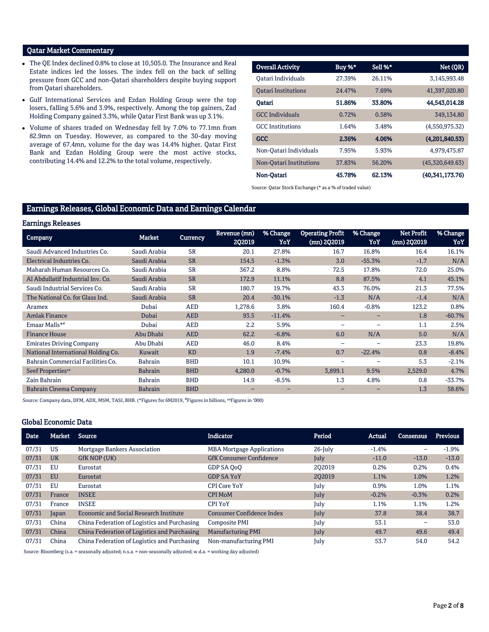## Qatar Market Commentary

- The QE Index declined 0.8% to close at 10,505.0. The Insurance and Real Estate indices led the losses. The index fell on the back of selling pressure from GCC and non-Qatari shareholders despite buying support from Qatari shareholders.
- Gulf International Services and Ezdan Holding Group were the top losers, falling 5.6% and 3.9%, respectively. Among the top gainers, Zad Holding Company gained 3.3%, while Qatar First Bank was up 3.1%.
- Volume of shares traded on Wednesday fell by 7.0% to 77.1mn from 82.9mn on Tuesday. However, as compared to the 30-day moving average of 67.4mn, volume for the day was 14.4% higher. Qatar First Bank and Ezdan Holding Group were the most active stocks, contributing 14.4% and 12.2% to the total volume, respectively.

| <b>Overall Activity</b>    | Buy %* | Sell %* | Net (QR)        |
|----------------------------|--------|---------|-----------------|
| Oatari Individuals         | 27.39% | 26.11%  | 3.145.993.48    |
| <b>Oatari Institutions</b> | 24.47% | 7.69%   | 41.397.020.80   |
| Oatari                     | 51.86% | 33.80%  | 44,543,014.28   |
| <b>GCC</b> Individuals     | 0.72%  | 0.58%   | 349,134.80      |
| <b>GCC</b> Institutions    | 1.64%  | 3.48%   | (4,550,975.32)  |
| <b>GCC</b>                 | 2.36%  | 4.06%   | (4,201,840.53)  |
| Non-Oatari Individuals     | 7.95%  | 5.93%   | 4.979.475.87    |
| Non-Oatari Institutions    | 37.83% | 56.20%  | (45,320,649.63) |
| Non-Oatari                 | 45.78% | 62.13%  | (40.341.173.76) |

Source: Qatar Stock Exchange (\* as a % of traded value)

## Earnings Releases, Global Economic Data and Earnings Calendar

|  | <b>Earnings Releases</b> |
|--|--------------------------|
|--|--------------------------|

| ----------------                   |                |                 |                        |                 |                                        |                 |                           |                 |
|------------------------------------|----------------|-----------------|------------------------|-----------------|----------------------------------------|-----------------|---------------------------|-----------------|
| <b>Company</b>                     | <b>Market</b>  | <b>Currency</b> | Revenue (mn)<br>2Q2019 | % Change<br>YoY | <b>Operating Profit</b><br>(mn) 2Q2019 | % Change<br>YoY | Net Profit<br>(mn) 2Q2019 | % Change<br>YoY |
| Saudi Advanced Industries Co.      | Saudi Arabia   | <b>SR</b>       | 20.1                   | 27.8%           | 16.7                                   | 16.8%           | 16.4                      | 16.1%           |
| Electrical Industries Co.          | Saudi Arabia   | <b>SR</b>       | 154.5                  | $-1.3%$         | 3.0                                    | $-55.3%$        | $-1.7$                    | N/A             |
| Maharah Human Resources Co.        | Saudi Arabia   | <b>SR</b>       | 367.2                  | 8.8%            | 72.5                                   | 17.8%           | 72.0                      | 25.0%           |
| Al Abdullatif Industrial Inv. Co.  | Saudi Arabia   | <b>SR</b>       | 172.9                  | 11.1%           | 8.8                                    | 87.5%           | 4.1                       | 45.1%           |
| Saudi Industrial Services Co.      | Saudi Arabia   | <b>SR</b>       | 180.7                  | 19.7%           | 43.3                                   | 76.0%           | 21.3                      | 77.5%           |
| The National Co. for Glass Ind.    | Saudi Arabia   | <b>SR</b>       | 20.4                   | $-30.1%$        | $-1.3$                                 | N/A             | $-1.4$                    | N/A             |
| Aramex                             | Dubai          | <b>AED</b>      | 1,278.6                | 3.8%            | 160.4                                  | $-0.8%$         | 123.2                     | 0.8%            |
| <b>Amlak Finance</b>               | Dubai          | <b>AED</b>      | 93.5                   | $-11.4%$        |                                        |                 | 1.8                       | $-60.7%$        |
| Emaar Malls**                      | Dubai          | <b>AED</b>      | 2.2                    | 5.9%            |                                        |                 | 1.1                       | 2.5%            |
| <b>Finance House</b>               | Abu Dhabi      | <b>AED</b>      | 62.2                   | $-6.8%$         | 6.0                                    | N/A             | 5.0                       | N/A             |
| <b>Emirates Driving Company</b>    | Abu Dhabi      | <b>AED</b>      | 46.0                   | 8.4%            | $\overline{\phantom{0}}$               |                 | 23.3                      | 19.8%           |
| National International Holding Co. | Kuwait         | <b>KD</b>       | 1.9                    | $-7.4%$         | 0.7                                    | $-22.4%$        | 0.8                       | $-8.4%$         |
| Bahrain Commercial Facilities Co.  | Bahrain        | <b>BHD</b>      | 10.1                   | 10.9%           |                                        |                 | 5.3                       | $-2.1%$         |
| Seef Properties"                   | <b>Bahrain</b> | <b>BHD</b>      | 4,280.0                | $-0.7%$         | 3,899.1                                | 9.5%            | 2,529.0                   | 4.7%            |
| Zain Bahrain                       | <b>Bahrain</b> | <b>BHD</b>      | 14.9                   | $-8.5%$         | 1.3                                    | 4.8%            | 0.8                       | $-33.7%$        |
| <b>Bahrain Cinema Company</b>      | <b>Bahrain</b> | <b>BHD</b>      |                        |                 |                                        |                 | 1.3                       | 58.6%           |

Source: Company data, DFM, ADX, MSM, TASI, BHB. (\*Figures for 6M2019, #Figures in billions, #Figures in '000)

#### Global Economic Data

| <b>Date</b> | Market    | Source                                        | <b>Indicator</b>                 | Period     | Actual  | Consensus | <b>Previous</b> |
|-------------|-----------|-----------------------------------------------|----------------------------------|------------|---------|-----------|-----------------|
| 07/31       | US        | Mortgage Bankers Association                  | <b>MBA Mortgage Applications</b> | $26$ -July | $-1.4%$ | -         | $-1.9%$         |
| 07/31       | <b>UK</b> | GfK NOP (UK)                                  | <b>GfK Consumer Confidence</b>   | July       | $-11.0$ | $-13.0$   | $-13.0$         |
| 07/31       | EU        | Eurostat                                      | GDP SA OoO                       | 202019     | 0.2%    | 0.2%      | 0.4%            |
| 07/31       | EU        | Eurostat                                      | <b>GDP SA YoY</b>                | 202019     | 1.1%    | 1.0%      | 1.2%            |
| 07/31       | EU        | Eurostat                                      | <b>CPI Core YoY</b>              | July       | 0.9%    | 1.0%      | 1.1%            |
| 07/31       | France    | <b>INSEE</b>                                  | <b>CPI MoM</b>                   | July       | $-0.2%$ | $-0.3%$   | 0.2%            |
| 07/31       | France    | <b>INSEE</b>                                  | <b>CPI YoY</b>                   | July       | 1.1%    | 1.1%      | 1.2%            |
| 07/31       | Japan     | <b>Economic and Social Research Institute</b> | <b>Consumer Confidence Index</b> | July       | 37.8    | 38.4      | 38.7            |
| 07/31       | China     | China Federation of Logistics and Purchasing  | Composite PMI                    | July       | 53.1    | -         | 53.0            |
| 07/31       | China     | China Federation of Logistics and Purchasing  | <b>Manufacturing PMI</b>         | July       | 49.7    | 49.6      | 49.4            |
| 07/31       | China     | China Federation of Logistics and Purchasing  | Non-manufacturing PMI            | July       | 53.7    | 54.0      | 54.2            |

Source: Bloomberg (s.a. = seasonally adjusted; n.s.a. = non-seasonally adjusted; w.d.a. = working day adjusted)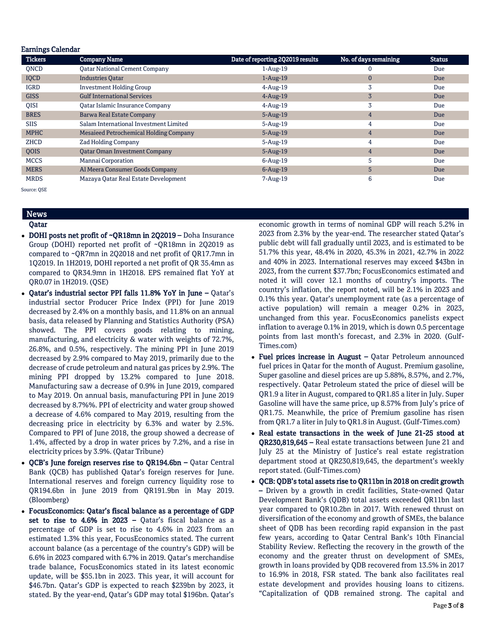| <b>Earnings Calendar</b> |                                        |                                  |                       |               |
|--------------------------|----------------------------------------|----------------------------------|-----------------------|---------------|
| <b>Tickers</b>           | <b>Company Name</b>                    | Date of reporting 2Q2019 results | No. of days remaining | <b>Status</b> |
| ONCD                     | <b>Qatar National Cement Company</b>   | $1-Aug-19$                       | -0                    | Due           |
| IQCD                     | <b>Industries Qatar</b>                | $1-Aug-19$                       | $\mathbf{0}$          | Due           |
| <b>IGRD</b>              | <b>Investment Holding Group</b>        | $4$ -Aug-19                      | 3                     | Due           |
| <b>GISS</b>              | <b>Gulf International Services</b>     | $4$ -Aug-19                      | 3                     | Due           |
| <b>OISI</b>              | Qatar Islamic Insurance Company        | $4$ -Aug-19                      | 3                     | Due           |
| <b>BRES</b>              | <b>Barwa Real Estate Company</b>       | $5-Aug-19$                       | $\overline{4}$        | Due           |
| <b>SIIS</b>              | Salam International Investment Limited | $5 - Aug-19$                     | 4                     | Due           |
| <b>MPHC</b>              | Mesaieed Petrochemical Holding Company | $5 - Aug-19$                     | $\overline{4}$        | Due           |
| ZHCD                     | <b>Zad Holding Company</b>             | $5 - Aug-19$                     | 4                     | Due           |
| QOIS                     | <b>Oatar Oman Investment Company</b>   | $5 - Aug-19$                     | $\overline{4}$        | Due           |
| <b>MCCS</b>              | Mannai Corporation                     | $6 - Aug-19$                     | 5                     | Due           |
| <b>MERS</b>              | Al Meera Consumer Goods Company        | $6$ -Aug-19                      | 5                     | Due           |
| <b>MRDS</b>              | Mazaya Qatar Real Estate Development   | 7-Aug-19                         | 6                     | Due           |

Source: QSE

### News Qatar

- 
- DOHI posts net profit of ~QR18mn in 2Q2019 Doha Insurance Group (DOHI) reported net profit of ~QR18mn in 2Q2019 as compared to ~QR7mn in 2Q2018 and net profit of QR17.7mn in 1Q2019. In 1H2019, DOHI reported a net profit of QR 35.4mn as compared to QR34.9mn in 1H2018. EPS remained flat YoY at QR0.07 in 1H2019. (QSE)
- Qatar's industrial sector PPI falls 11.8% YoY in June Qatar's industrial sector Producer Price Index (PPI) for June 2019 decreased by 2.4% on a monthly basis, and 11.8% on an annual basis, data released by Planning and Statistics Authority (PSA) showed. The PPI covers goods relating to mining, manufacturing, and electricity & water with weights of 72.7%, 26.8%, and 0.5%, respectively. The mining PPI in June 2019 decreased by 2.9% compared to May 2019, primarily due to the decrease of crude petroleum and natural gas prices by 2.9%. The mining PPI dropped by 13.2% compared to June 2018. Manufacturing saw a decrease of 0.9% in June 2019, compared to May 2019. On annual basis, manufacturing PPI in June 2019 decreased by 8.7%%. PPI of electricity and water group showed a decrease of 4.6% compared to May 2019, resulting from the decreasing price in electricity by 6.3% and water by 2.5%. Compared to PPI of June 2018, the group showed a decrease of 1.4%, affected by a drop in water prices by 7.2%, and a rise in electricity prices by 3.9%. (Qatar Tribune)
- OCB's June foreign reserves rise to OR194.6bn Qatar Central Bank (QCB) has published Qatar's foreign reserves for June. International reserves and foreign currency liquidity rose to QR194.6bn in June 2019 from QR191.9bn in May 2019. (Bloomberg)
- FocusEconomics: Qatar's fiscal balance as a percentage of GDP set to rise to  $4.6\%$  in 2023 – Oatar's fiscal balance as a percentage of GDP is set to rise to 4.6% in 2023 from an estimated 1.3% this year, FocusEconomics stated. The current account balance (as a percentage of the country's GDP) will be 6.6% in 2023 compared with 6.7% in 2019. Qatar's merchandise trade balance, FocusEconomics stated in its latest economic update, will be \$55.1bn in 2023. This year, it will account for \$46.7bn. Qatar's GDP is expected to reach \$239bn by 2023, it stated. By the year-end, Qatar's GDP may total \$196bn. Qatar's

economic growth in terms of nominal GDP will reach 5.2% in 2023 from 2.3% by the year-end. The researcher stated Qatar's public debt will fall gradually until 2023, and is estimated to be 51.7% this year, 48.4% in 2020, 45.3% in 2021, 42.7% in 2022 and 40% in 2023. International reserves may exceed \$43bn in 2023, from the current \$37.7bn; FocusEconomics estimated and noted it will cover 12.1 months of country's imports. The country's inflation, the report noted, will be 2.1% in 2023 and 0.1% this year. Qatar's unemployment rate (as a percentage of active population) will remain a meager 0.2% in 2023, unchanged from this year. FocusEconomics panelists expect inflation to average 0.1% in 2019, which is down 0.5 percentage points from last month's forecast, and 2.3% in 2020. (Gulf-Times.com)

- Fuel prices increase in August Qatar Petroleum announced fuel prices in Qatar for the month of August. Premium gasoline, Super gasoline and diesel prices are up 5.88%, 8.57%, and 2.7%, respectively. Qatar Petroleum stated the price of diesel will be QR1.9 a liter in August, compared to QR1.85 a liter in July. Super Gasoline will have the same price, up 8.57% from July's price of QR1.75. Meanwhile, the price of Premium gasoline has risen from QR1.7 a liter in July to QR1.8 in August. (Gulf-Times.com)
- Real estate transactions in the week of June 21-25 stood at QR230,819,645 – Real estate transactions between June 21 and July 25 at the Ministry of Justice's real estate registration department stood at QR230,819,645, the department's weekly report stated. (Gulf-Times.com)
- QCB: QDB's total assets rise to QR11bn in 2018 on credit growth – Driven by a growth in credit facilities, State-owned Qatar Development Bank's (QDB) total assets exceeded QR11bn last year compared to QR10.2bn in 2017. With renewed thrust on diversification of the economy and growth of SMEs, the balance sheet of QDB has been recording rapid expansion in the past few years, according to Qatar Central Bank's 10th Financial Stability Review. Reflecting the recovery in the growth of the economy and the greater thrust on development of SMEs, growth in loans provided by QDB recovered from 13.5% in 2017 to 16.9% in 2018, FSR stated. The bank also facilitates real estate development and provides housing loans to citizens. "Capitalization of QDB remained strong. The capital and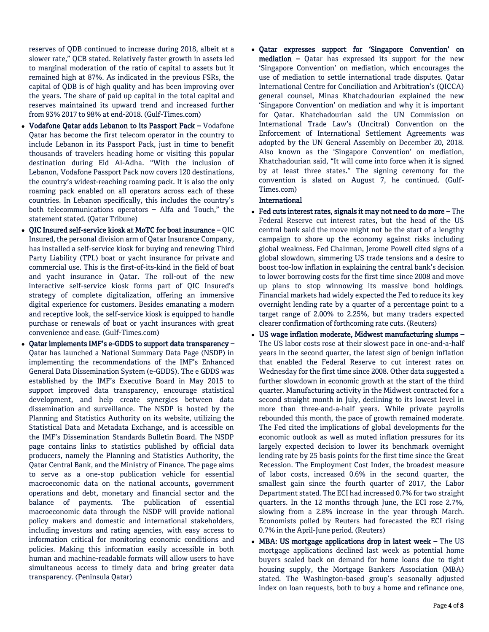reserves of QDB continued to increase during 2018, albeit at a slower rate," QCB stated. Relatively faster growth in assets led to marginal moderation of the ratio of capital to assets but it remained high at 87%. As indicated in the previous FSRs, the capital of QDB is of high quality and has been improving over the years. The share of paid up capital in the total capital and reserves maintained its upward trend and increased further from 93% 2017 to 98% at end-2018. (Gulf-Times.com)

- Vodafone Qatar adds Lebanon to its Passport Pack Vodafone Qatar has become the first telecom operator in the country to include Lebanon in its Passport Pack, just in time to benefit thousands of travelers heading home or visiting this popular destination during Eid Al-Adha. "With the inclusion of Lebanon, Vodafone Passport Pack now covers 120 destinations, the country's widest-reaching roaming pack. It is also the only roaming pack enabled on all operators across each of these countries. In Lebanon specifically, this includes the country's both telecommunications operators – Alfa and Touch," the statement stated. (Qatar Tribune)
- $\bullet$  OIC Insured self-service kiosk at MoTC for boat insurance OIC Insured, the personal division arm of Qatar Insurance Company, has installed a self-service kiosk for buying and renewing Third Party Liability (TPL) boat or yacht insurance for private and commercial use. This is the first-of-its-kind in the field of boat and yacht insurance in Qatar. The roll-out of the new interactive self-service kiosk forms part of QIC Insured's strategy of complete digitalization, offering an immersive digital experience for customers. Besides emanating a modern and receptive look, the self-service kiosk is equipped to handle purchase or renewals of boat or yacht insurances with great convenience and ease. (Gulf-Times.com)
- Qatar implements IMF's e-GDDS to support data transparency Qatar has launched a National Summary Data Page (NSDP) in implementing the recommendations of the IMF's Enhanced General Data Dissemination System (e-GDDS). The e GDDS was established by the IMF's Executive Board in May 2015 to support improved data transparency, encourage statistical development, and help create synergies between data dissemination and surveillance. The NSDP is hosted by the Planning and Statistics Authority on its website, utilizing the Statistical Data and Metadata Exchange, and is accessible on the IMF's Dissemination Standards Bulletin Board. The NSDP page contains links to statistics published by official data producers, namely the Planning and Statistics Authority, the Qatar Central Bank, and the Ministry of Finance. The page aims to serve as a one-stop publication vehicle for essential macroeconomic data on the national accounts, government operations and debt, monetary and financial sector and the balance of payments. The publication of essential macroeconomic data through the NSDP will provide national policy makers and domestic and international stakeholders, including investors and rating agencies, with easy access to information critical for monitoring economic conditions and policies. Making this information easily accessible in both human and machine-readable formats will allow users to have simultaneous access to timely data and bring greater data transparency. (Peninsula Qatar)

 Qatar expresses support for 'Singapore Convention' on mediation – Qatar has expressed its support for the new 'Singapore Convention' on mediation, which encourages the use of mediation to settle international trade disputes. Qatar International Centre for Conciliation and Arbitration's (QICCA) general counsel, Minas Khatchadourian explained the new 'Singapore Convention' on mediation and why it is important for Qatar. Khatchadourian said the UN Commission on International Trade Law's (Uncitral) Convention on the Enforcement of International Settlement Agreements was adopted by the UN General Assembly on December 20, 2018. Also known as the 'Singapore Convention' on mediation, Khatchadourian said, "It will come into force when it is signed by at least three states." The signing ceremony for the convention is slated on August 7, he continued. (Gulf-Times.com)

### International

- Fed cuts interest rates, signals it may not need to do more The Federal Reserve cut interest rates, but the head of the US central bank said the move might not be the start of a lengthy campaign to shore up the economy against risks including global weakness. Fed Chairman, Jerome Powell cited signs of a global slowdown, simmering US trade tensions and a desire to boost too-low inflation in explaining the central bank's decision to lower borrowing costs for the first time since 2008 and move up plans to stop winnowing its massive bond holdings. Financial markets had widely expected the Fed to reduce its key overnight lending rate by a quarter of a percentage point to a target range of 2.00% to 2.25%, but many traders expected clearer confirmation of forthcoming rate cuts. (Reuters)
- US wage inflation moderate, Midwest manufacturing slumps The US labor costs rose at their slowest pace in one-and-a-half years in the second quarter, the latest sign of benign inflation that enabled the Federal Reserve to cut interest rates on Wednesday for the first time since 2008. Other data suggested a further slowdown in economic growth at the start of the third quarter. Manufacturing activity in the Midwest contracted for a second straight month in July, declining to its lowest level in more than three-and-a-half years. While private payrolls rebounded this month, the pace of growth remained moderate. The Fed cited the implications of global developments for the economic outlook as well as muted inflation pressures for its largely expected decision to lower its benchmark overnight lending rate by 25 basis points for the first time since the Great Recession. The Employment Cost Index, the broadest measure of labor costs, increased 0.6% in the second quarter, the smallest gain since the fourth quarter of 2017, the Labor Department stated. The ECI had increased 0.7% for two straight quarters. In the 12 months through June, the ECI rose 2.7%, slowing from a 2.8% increase in the year through March. Economists polled by Reuters had forecasted the ECI rising 0.7% in the April-June period. (Reuters)
- MBA: US mortgage applications drop in latest week The US mortgage applications declined last week as potential home buyers scaled back on demand for home loans due to tight housing supply, the Mortgage Bankers Association (MBA) stated. The Washington-based group's seasonally adjusted index on loan requests, both to buy a home and refinance one,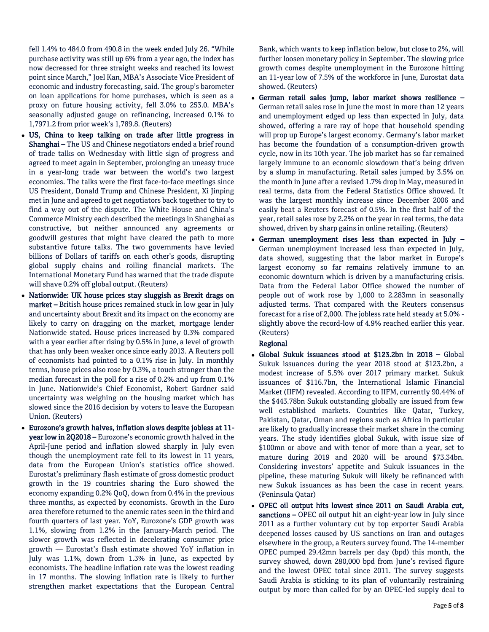fell 1.4% to 484.0 from 490.8 in the week ended July 26. "While purchase activity was still up 6% from a year ago, the index has now decreased for three straight weeks and reached its lowest point since March," Joel Kan, MBA's Associate Vice President of economic and industry forecasting, said. The group's barometer on loan applications for home purchases, which is seen as a proxy on future housing activity, fell 3.0% to 253.0. MBA's seasonally adjusted gauge on refinancing, increased 0.1% to 1,7971.2 from prior week's 1,789.8. (Reuters)

- US, China to keep talking on trade after little progress in Shanghai – The US and Chinese negotiators ended a brief round of trade talks on Wednesday with little sign of progress and agreed to meet again in September, prolonging an uneasy truce in a year-long trade war between the world's two largest economies. The talks were the first face-to-face meetings since US President, Donald Trump and Chinese President, Xi Jinping met in June and agreed to get negotiators back together to try to find a way out of the dispute. The White House and China's Commerce Ministry each described the meetings in Shanghai as constructive, but neither announced any agreements or goodwill gestures that might have cleared the path to more substantive future talks. The two governments have levied billions of Dollars of tariffs on each other's goods, disrupting global supply chains and roiling financial markets. The International Monetary Fund has warned that the trade dispute will shave 0.2% off global output. (Reuters)
- Nationwide: UK house prices stay sluggish as Brexit drags on market – British house prices remained stuck in low gear in July and uncertainty about Brexit and its impact on the economy are likely to carry on dragging on the market, mortgage lender Nationwide stated. House prices increased by 0.3% compared with a year earlier after rising by 0.5% in June, a level of growth that has only been weaker once since early 2013. A Reuters poll of economists had pointed to a 0.1% rise in July. In monthly terms, house prices also rose by 0.3%, a touch stronger than the median forecast in the poll for a rise of 0.2% and up from 0.1% in June. Nationwide's Chief Economist, Robert Gardner said uncertainty was weighing on the housing market which has slowed since the 2016 decision by voters to leave the European Union. (Reuters)
- Eurozone's growth halves, inflation slows despite jobless at 11 year low in 2Q2018 – Eurozone's economic growth halved in the April-June period and inflation slowed sharply in July even though the unemployment rate fell to its lowest in 11 years, data from the European Union's statistics office showed. Eurostat's preliminary flash estimate of gross domestic product growth in the 19 countries sharing the Euro showed the economy expanding 0.2% QoQ, down from 0.4% in the previous three months, as expected by economists. Growth in the Euro area therefore returned to the anemic rates seen in the third and fourth quarters of last year. YoY, Eurozone's GDP growth was 1.1%, slowing from 1.2% in the January-March period. The slower growth was reflected in decelerating consumer price growth — Eurostat's flash estimate showed YoY inflation in July was 1.1%, down from 1.3% in June, as expected by economists. The headline inflation rate was the lowest reading in 17 months. The slowing inflation rate is likely to further strengthen market expectations that the European Central

Bank, which wants to keep inflation below, but close to 2%, will further loosen monetary policy in September. The slowing price growth comes despite unemployment in the Eurozone hitting an 11-year low of 7.5% of the workforce in June, Eurostat data showed. (Reuters)

- German retail sales jump, labor market shows resilience German retail sales rose in June the most in more than 12 years and unemployment edged up less than expected in July, data showed, offering a rare ray of hope that household spending will prop up Europe's largest economy. Germany's labor market has become the foundation of a consumption-driven growth cycle, now in its 10th year. The job market has so far remained largely immune to an economic slowdown that's being driven by a slump in manufacturing. Retail sales jumped by 3.5% on the month in June after a revised 1.7% drop in May, measured in real terms, data from the Federal Statistics Office showed. It was the largest monthly increase since December 2006 and easily beat a Reuters forecast of 0.5%. In the first half of the year, retail sales rose by 2.2% on the year in real terms, the data showed, driven by sharp gains in online retailing. (Reuters)
- German unemployment rises less than expected in July German unemployment increased less than expected in July, data showed, suggesting that the labor market in Europe's largest economy so far remains relatively immune to an economic downturn which is driven by a manufacturing crisis. Data from the Federal Labor Office showed the number of people out of work rose by 1,000 to 2.283mn in seasonally adjusted terms. That compared with the Reuters consensus forecast for a rise of 2,000. The jobless rate held steady at 5.0% slightly above the record-low of 4.9% reached earlier this year. (Reuters)

## Regional

- Global Sukuk issuances stood at \$123.2bn in 2018 Global Sukuk issuances during the year 2018 stood at \$123.2bn, a modest increase of 5.5% over 2017 primary market. Sukuk issuances of \$116.7bn, the International Islamic Financial Market (IIFM) revealed. According to IIFM, currently 90.44% of the \$443.78bn Sukuk outstanding globally are issued from few well established markets. Countries like Qatar, Turkey, Pakistan, Qatar, Oman and regions such as Africa in particular are likely to gradually increase their market share in the coming years. The study identifies global Sukuk, with issue size of \$100mn or above and with tenor of more than a year, set to mature during 2019 and 2020 will be around \$73.34bn. Considering investors' appetite and Sukuk issuances in the pipeline, these maturing Sukuk will likely be refinanced with new Sukuk issuances as has been the case in recent years. (Peninsula Qatar)
- OPEC oil output hits lowest since 2011 on Saudi Arabia cut, sanctions – OPEC oil output hit an eight-year low in July since 2011 as a further voluntary cut by top exporter Saudi Arabia deepened losses caused by US sanctions on Iran and outages elsewhere in the group, a Reuters survey found. The 14-member OPEC pumped 29.42mn barrels per day (bpd) this month, the survey showed, down 280,000 bpd from June's revised figure and the lowest OPEC total since 2011. The survey suggests Saudi Arabia is sticking to its plan of voluntarily restraining output by more than called for by an OPEC-led supply deal to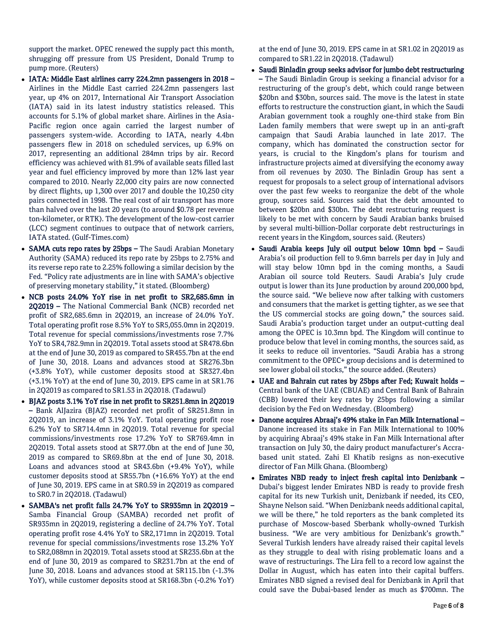support the market. OPEC renewed the supply pact this month, shrugging off pressure from US President, Donald Trump to pump more. (Reuters)

- IATA: Middle East airlines carry 224.2mn passengers in 2018 Airlines in the Middle East carried 224.2mn passengers last year, up 4% on 2017, International Air Transport Association (IATA) said in its latest industry statistics released. This accounts for 5.1% of global market share. Airlines in the Asia-Pacific region once again carried the largest number of passengers system-wide. According to IATA, nearly 4.4bn passengers flew in 2018 on scheduled services, up 6.9% on 2017, representing an additional 284mn trips by air. Record efficiency was achieved with 81.9% of available seats filled last year and fuel efficiency improved by more than 12% last year compared to 2010. Nearly 22,000 city pairs are now connected by direct flights, up 1,300 over 2017 and double the 10,250 city pairs connected in 1998. The real cost of air transport has more than halved over the last 20 years (to around \$0.78 per revenue ton-kilometer, or RTK). The development of the low-cost carrier (LCC) segment continues to outpace that of network carriers, IATA stated. (Gulf-Times.com)
- SAMA cuts repo rates by 25bps The Saudi Arabian Monetary Authority (SAMA) reduced its repo rate by 25bps to 2.75% and its reverse repo rate to 2.25% following a similar decision by the Fed. "Policy rate adjustments are in line with SAMA's objective of preserving monetary stability," it stated. (Bloomberg)
- NCB posts 24.0% YoY rise in net profit to SR2,685.6mn in 2Q2019 – The National Commercial Bank (NCB) recorded net profit of SR2,685.6mn in 2Q2019, an increase of 24.0% YoY. Total operating profit rose 8.5% YoY to SR5,055.0mn in 2Q2019. Total revenue for special commissions/investments rose 7.7% YoY to SR4,782.9mn in 2Q2019. Total assets stood at SR478.6bn at the end of June 30, 2019 as compared to SR455.7bn at the end of June 30, 2018. Loans and advances stood at SR276.3bn (+3.8% YoY), while customer deposits stood at SR327.4bn (+3.1% YoY) at the end of June 30, 2019. EPS came in at SR1.76 in 2Q2019 as compared to SR1.53 in 2Q2018. (Tadawul)
- BJAZ posts 3.1% YoY rise in net profit to SR251.8mn in 2Q2019 – Bank AlJazira (BJAZ) recorded net profit of SR251.8mn in 2Q2019, an increase of 3.1% YoY. Total operating profit rose 6.2% YoY to SR714.4mn in 2Q2019. Total revenue for special commissions/investments rose 17.2% YoY to SR769.4mn in 2Q2019. Total assets stood at SR77.0bn at the end of June 30, 2019 as compared to SR69.8bn at the end of June 30, 2018. Loans and advances stood at SR43.6bn (+9.4% YoY), while customer deposits stood at SR55.7bn (+16.6% YoY) at the end of June 30, 2019. EPS came in at SR0.59 in 2Q2019 as compared to SR0.7 in 2Q2018. (Tadawul)
- SAMBA's net profit falls 24.7% YoY to SR935mn in 2Q2019 Samba Financial Group (SAMBA) recorded net profit of SR935mn in 2Q2019, registering a decline of 24.7% YoY. Total operating profit rose 4.4% YoY to SR2,171mn in 2Q2019. Total revenue for special commissions/investments rose 13.2% YoY to SR2,088mn in 2Q2019. Total assets stood at SR235.6bn at the end of June 30, 2019 as compared to SR231.7bn at the end of June 30, 2018. Loans and advances stood at SR115.1bn (-1.3% YoY), while customer deposits stood at SR168.3bn (-0.2% YoY)

at the end of June 30, 2019. EPS came in at SR1.02 in 2Q2019 as compared to SR1.22 in 2Q2018. (Tadawul)

- Saudi Binladin group seeks advisor for jumbo debt restructuring – The Saudi Binladin Group is seeking a financial advisor for a restructuring of the group's debt, which could range between \$20bn and \$30bn, sources said. The move is the latest in state efforts to restructure the construction giant, in which the Saudi Arabian government took a roughly one-third stake from Bin Laden family members that were swept up in an anti-graft campaign that Saudi Arabia launched in late 2017. The company, which has dominated the construction sector for years, is crucial to the Kingdom's plans for tourism and infrastructure projects aimed at diversifying the economy away from oil revenues by 2030. The Binladin Group has sent a request for proposals to a select group of international advisors over the past few weeks to reorganize the debt of the whole group, sources said. Sources said that the debt amounted to between \$20bn and \$30bn. The debt restructuring request is likely to be met with concern by Saudi Arabian banks bruised by several multi-billion-Dollar corporate debt restructurings in recent years in the Kingdom, sources said. (Reuters)
- Saudi Arabia keeps July oil output below 10mn bpd Saudi Arabia's oil production fell to 9.6mn barrels per day in July and will stay below 10mn bpd in the coming months, a Saudi Arabian oil source told Reuters. Saudi Arabia's July crude output is lower than its June production by around 200,000 bpd, the source said. "We believe now after talking with customers and consumers that the market is getting tighter, as we see that the US commercial stocks are going down," the sources said. Saudi Arabia's production target under an output-cutting deal among the OPEC is 10.3mn bpd. The Kingdom will continue to produce below that level in coming months, the sources said, as it seeks to reduce oil inventories. "Saudi Arabia has a strong commitment to the OPEC+ group decisions and is determined to see lower global oil stocks," the source added. (Reuters)
- UAE and Bahrain cut rates by 25bps after Fed; Kuwait holds Central bank of the UAE (CBUAE) and Central Bank of Bahrain (CBB) lowered their key rates by 25bps following a similar decision by the Fed on Wednesday. (Bloomberg)
- Danone acquires Abraaj's 49% stake in Fan Milk International Danone increased its stake in Fan Milk International to 100% by acquiring Abraaj's 49% stake in Fan Milk International after transaction on July 30, the dairy product manufacturer's Accrabased unit stated. Zahi El Khatib resigns as non-executive director of Fan Milk Ghana. (Bloomberg)
- Emirates NBD ready to inject fresh capital into Denizbank Dubai's biggest lender Emirates NBD is ready to provide fresh capital for its new Turkish unit, Denizbank if needed, its CEO, Shayne Nelson said. "When Denizbank needs additional capital, we will be there," he told reporters as the bank completed its purchase of Moscow-based Sberbank wholly-owned Turkish business. "We are very ambitious for Denizbank's growth." Several Turkish lenders have already raised their capital levels as they struggle to deal with rising problematic loans and a wave of restructurings. The Lira fell to a record low against the Dollar in August, which has eaten into their capital buffers. Emirates NBD signed a revised deal for Denizbank in April that could save the Dubai-based lender as much as \$700mn. The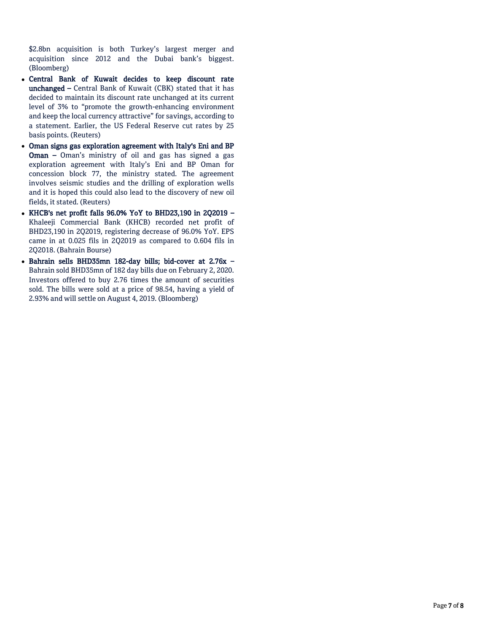\$2.8bn acquisition is both Turkey's largest merger and acquisition since 2012 and the Dubai bank's biggest. (Bloomberg)

- Central Bank of Kuwait decides to keep discount rate unchanged – Central Bank of Kuwait (CBK) stated that it has decided to maintain its discount rate unchanged at its current level of 3% to "promote the growth-enhancing environment and keep the local currency attractive" for savings, according to a statement. Earlier, the US Federal Reserve cut rates by 25 basis points. (Reuters)
- Oman signs gas exploration agreement with Italy's Eni and BP Oman – Oman's ministry of oil and gas has signed a gas exploration agreement with Italy's Eni and BP Oman for concession block 77, the ministry stated. The agreement involves seismic studies and the drilling of exploration wells and it is hoped this could also lead to the discovery of new oil fields, it stated. (Reuters)
- KHCB's net profit falls 96.0% YoY to BHD23,190 in 2Q2019 Khaleeji Commercial Bank (KHCB) recorded net profit of BHD23,190 in 2Q2019, registering decrease of 96.0% YoY. EPS came in at 0.025 fils in 2Q2019 as compared to 0.604 fils in 2Q2018. (Bahrain Bourse)
- Bahrain sells BHD35mn 182-day bills; bid-cover at 2.76x Bahrain sold BHD35mn of 182 day bills due on February 2, 2020. Investors offered to buy 2.76 times the amount of securities sold. The bills were sold at a price of 98.54, having a yield of 2.93% and will settle on August 4, 2019. (Bloomberg)